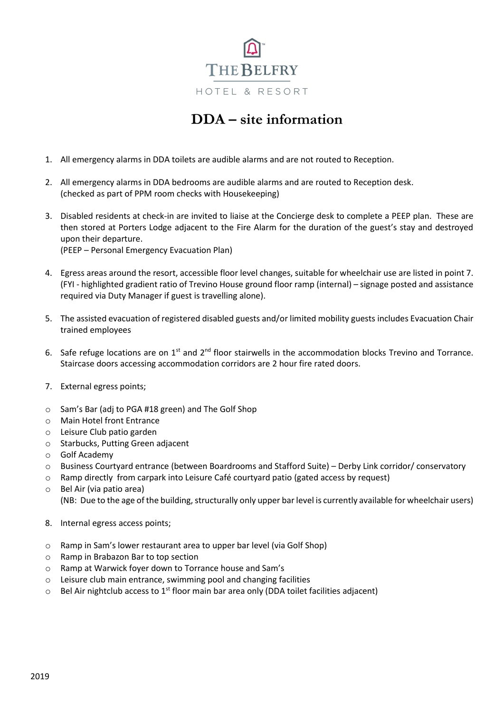

# **DDA – site information**

- 1. All emergency alarms in DDA toilets are audible alarms and are not routed to Reception.
- 2. All emergency alarms in DDA bedrooms are audible alarms and are routed to Reception desk. (checked as part of PPM room checks with Housekeeping)
- 3. Disabled residents at check-in are invited to liaise at the Concierge desk to complete a PEEP plan. These are then stored at Porters Lodge adjacent to the Fire Alarm for the duration of the guest's stay and destroyed upon their departure.

(PEEP – Personal Emergency Evacuation Plan)

- 4. Egress areas around the resort, accessible floor level changes, suitable for wheelchair use are listed in point 7. (FYI - highlighted gradient ratio of Trevino House ground floor ramp (internal) – signage posted and assistance required via Duty Manager if guest is travelling alone).
- 5. The assisted evacuation of registered disabled guests and/or limited mobility guests includes Evacuation Chair trained employees
- 6. Safe refuge locations are on  $1^{st}$  and  $2^{nd}$  floor stairwells in the accommodation blocks Trevino and Torrance. Staircase doors accessing accommodation corridors are 2 hour fire rated doors.
- 7. External egress points;
- o Sam's Bar (adj to PGA #18 green) and The Golf Shop
- o Main Hotel front Entrance
- o Leisure Club patio garden
- o Starbucks, Putting Green adjacent
- o Golf Academy
- o Business Courtyard entrance (between Boardrooms and Stafford Suite) Derby Link corridor/ conservatory
- o Ramp directly from carpark into Leisure Café courtyard patio (gated access by request)
- o Bel Air (via patio area) (NB: Due to the age of the building, structurally only upper bar level is currently available for wheelchair users)
- 8. Internal egress access points;
- o Ramp in Sam's lower restaurant area to upper bar level (via Golf Shop)
- o Ramp in Brabazon Bar to top section
- o Ramp at Warwick foyer down to Torrance house and Sam's
- o Leisure club main entrance, swimming pool and changing facilities
- $\circ$  Bel Air nightclub access to 1<sup>st</sup> floor main bar area only (DDA toilet facilities adjacent)